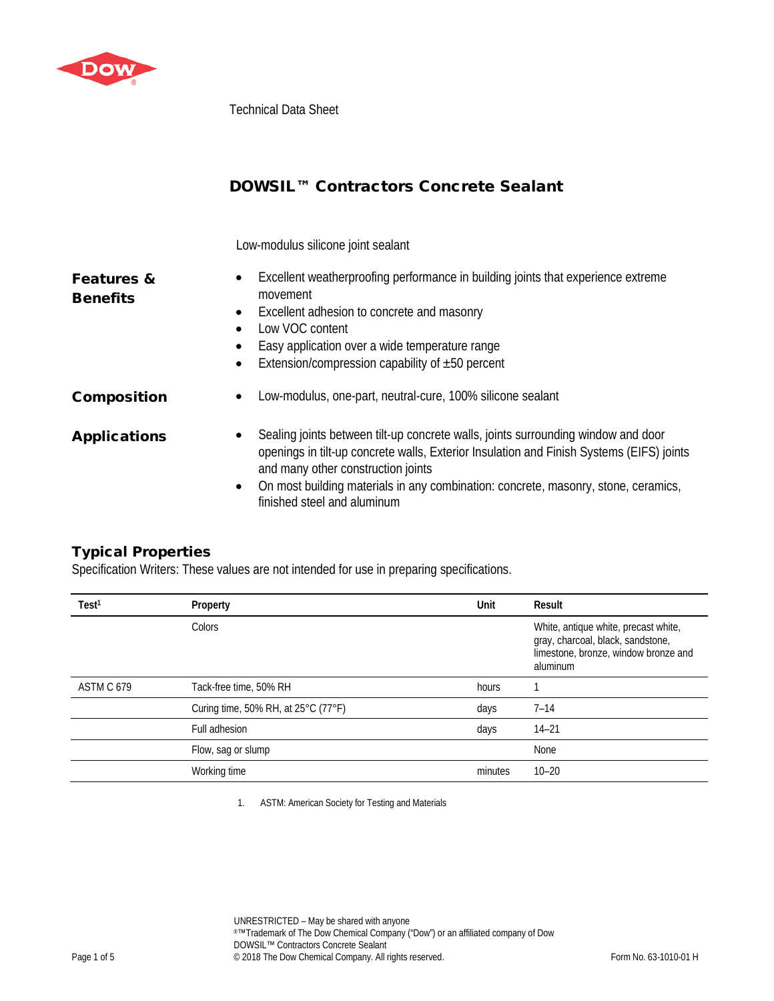

Technical Data Sheet

|                                          | DOWSIL™ Contractors Concrete Sealant                                                                                                                                                                                                                                                                                                                       |
|------------------------------------------|------------------------------------------------------------------------------------------------------------------------------------------------------------------------------------------------------------------------------------------------------------------------------------------------------------------------------------------------------------|
|                                          | Low-modulus silicone joint sealant                                                                                                                                                                                                                                                                                                                         |
| <b>Features &amp;</b><br><b>Benefits</b> | Excellent weatherproofing performance in building joints that experience extreme<br>movement<br>Excellent adhesion to concrete and masonry<br>$\bullet$<br>Low VOC content<br>Easy application over a wide temperature range<br>Extension/compression capability of $\pm 50$ percent<br>$\bullet$                                                          |
| <b>Composition</b>                       | Low-modulus, one-part, neutral-cure, 100% silicone sealant<br>٠                                                                                                                                                                                                                                                                                            |
| <b>Applications</b>                      | Sealing joints between tilt-up concrete walls, joints surrounding window and door<br>٠<br>openings in tilt-up concrete walls, Exterior Insulation and Finish Systems (EIFS) joints<br>and many other construction joints<br>On most building materials in any combination: concrete, masonry, stone, ceramics,<br>$\bullet$<br>finished steel and aluminum |

## Typical Properties

Specification Writers: These values are not intended for use in preparing specifications.

| Test <sup>1</sup> | Property                            | Unit    | Result                                                                                                                        |
|-------------------|-------------------------------------|---------|-------------------------------------------------------------------------------------------------------------------------------|
|                   | Colors                              |         | White, antique white, precast white,<br>gray, charcoal, black, sandstone,<br>limestone, bronze, window bronze and<br>aluminum |
| ASTM C 679        | Tack-free time, 50% RH              | hours   |                                                                                                                               |
|                   | Curing time, 50% RH, at 25°C (77°F) | days    | $7 - 14$                                                                                                                      |
|                   | Full adhesion                       | days    | $14 - 21$                                                                                                                     |
|                   | Flow, sag or slump                  |         | None                                                                                                                          |
|                   | Working time                        | minutes | $10 - 20$                                                                                                                     |

1. ASTM: American Society for Testing and Materials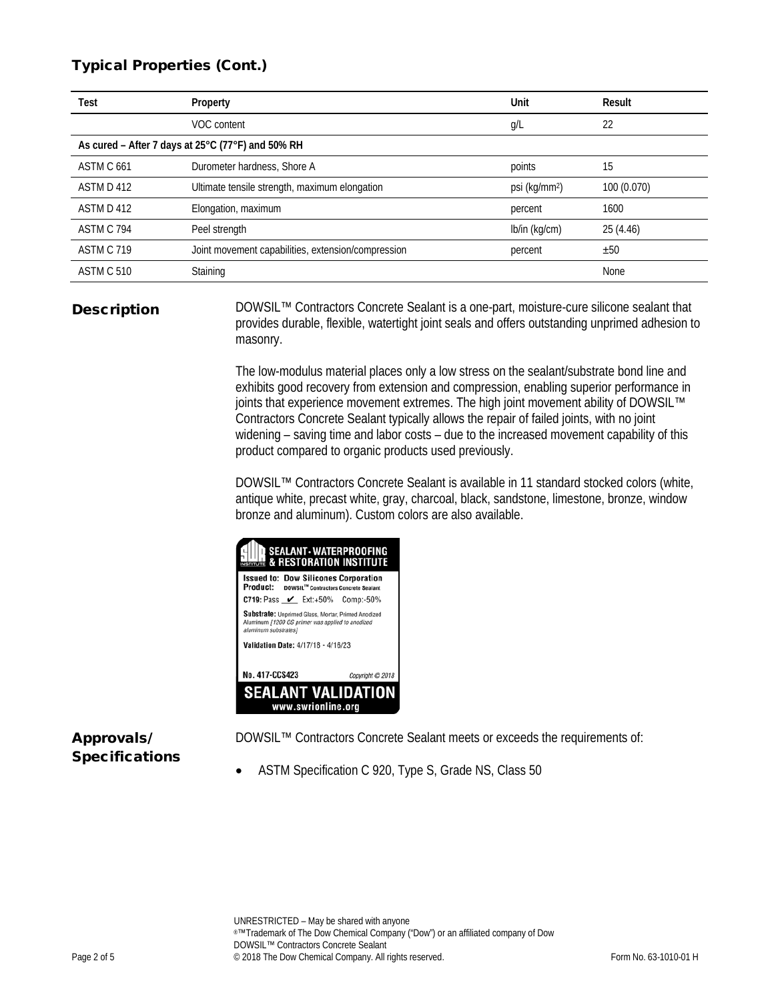## Typical Properties (Cont.)

| Test                                              | Property                                           | Unit                      | Result      |
|---------------------------------------------------|----------------------------------------------------|---------------------------|-------------|
|                                                   | VOC content                                        | g/L                       | 22          |
| As cured - After 7 days at 25°C (77°F) and 50% RH |                                                    |                           |             |
| ASTM C 661                                        | Durometer hardness, Shore A                        | points                    | 15          |
| ASTM D 412                                        | Ultimate tensile strength, maximum elongation      | psi (kg/mm <sup>2</sup> ) | 100 (0.070) |
| ASTM D 412                                        | Elongation, maximum                                | percent                   | 1600        |
| ASTM C 794                                        | Peel strength                                      | lb/in (kg/cm)             | 25 (4.46)   |
| <b>ASTM C 719</b>                                 | Joint movement capabilities, extension/compression | percent                   | ±50         |
| ASTM C 510                                        | Staining                                           |                           | None        |

**Description** DOWSIL<sup>™</sup> Contractors Concrete Sealant is a one-part, moisture-cure silicone sealant that provides durable, flexible, watertight joint seals and offers outstanding unprimed adhesion to masonry.

> The low-modulus material places only a low stress on the sealant/substrate bond line and exhibits good recovery from extension and compression, enabling superior performance in joints that experience movement extremes. The high joint movement ability of DOWSIL™ Contractors Concrete Sealant typically allows the repair of failed joints, with no joint widening – saving time and labor costs – due to the increased movement capability of this product compared to organic products used previously.

> DOWSIL™ Contractors Concrete Sealant is available in 11 standard stocked colors (white, antique white, precast white, gray, charcoal, black, sandstone, limestone, bronze, window bronze and aluminum). Custom colors are also available.

| <b>SEALANT-WATERPROOFING</b><br><b>ANGLE &amp; RESTORATION INSTITUTE</b>                                                       |                  |  |
|--------------------------------------------------------------------------------------------------------------------------------|------------------|--|
| <b>Issued to: Dow Silicones Corporation</b><br>Product:<br>DOWSIL™ Contractors Concrete Sealant                                |                  |  |
| <b>C719:</b> Pass $\checkmark$ Ext:+50%                                                                                        | Comp:-50%        |  |
| Substrate: Unprimed Glass, Mortar, Primed Anodized<br>Aluminum [1200 OS primer was applied to anodized<br>aluminum substrates] |                  |  |
| Validation Date: 4/17/18 - 4/16/23                                                                                             |                  |  |
|                                                                                                                                |                  |  |
| No. 417-CCS423                                                                                                                 | Copyright C 2018 |  |
| <b>SEALANT VALIDATION</b>                                                                                                      |                  |  |
| www.swrionline.org                                                                                                             |                  |  |

# Approvals/ Specifications

DOWSIL™ Contractors Concrete Sealant meets or exceeds the requirements of:

• ASTM Specification C 920, Type S, Grade NS, Class 50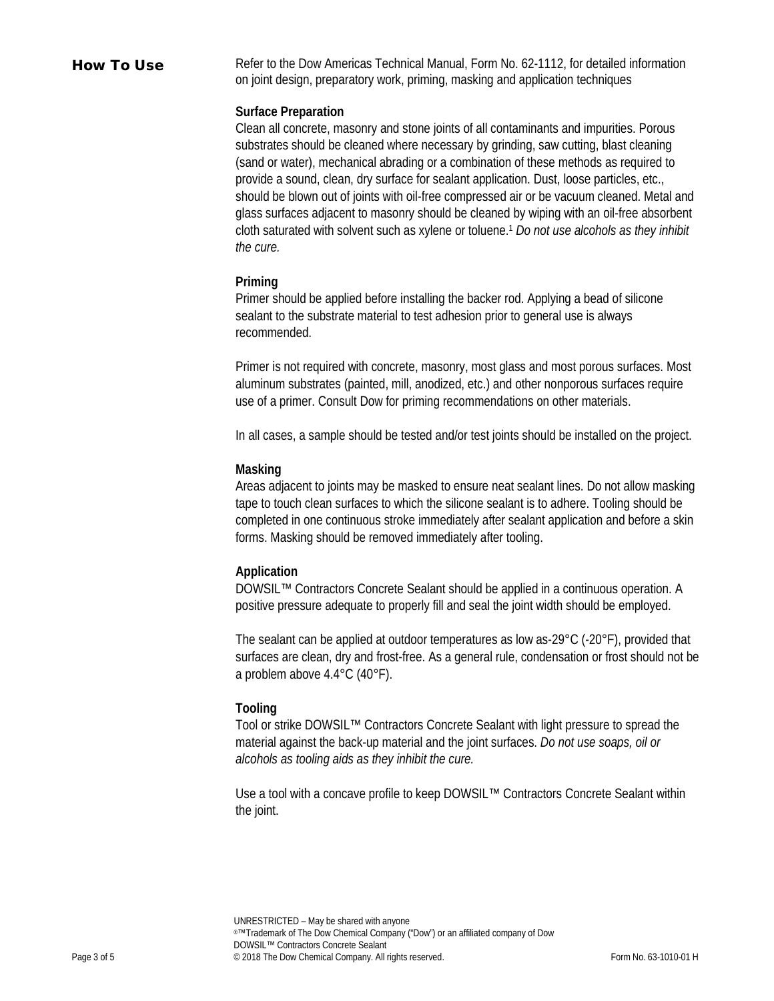How To Use Refer to the Dow Americas Technical Manual, Form No. 62-1112, for detailed information on joint design, preparatory work, priming, masking and application techniques

#### **Surface Preparation**

Clean all concrete, masonry and stone joints of all contaminants and impurities. Porous substrates should be cleaned where necessary by grinding, saw cutting, blast cleaning (sand or water), mechanical abrading or a combination of these methods as required to provide a sound, clean, dry surface for sealant application. Dust, loose particles, etc., should be blown out of joints with oil-free compressed air or be vacuum cleaned. Metal and glass surfaces adjacent to masonry should be cleaned by wiping with an oil-free absorbent cloth saturated with solvent such as xylene or toluene.1 *Do not use alcohols as they inhibit the cure.*

#### **Priming**

Primer should be applied before installing the backer rod. Applying a bead of silicone sealant to the substrate material to test adhesion prior to general use is always recommended.

Primer is not required with concrete, masonry, most glass and most porous surfaces. Most aluminum substrates (painted, mill, anodized, etc.) and other nonporous surfaces require use of a primer. Consult Dow for priming recommendations on other materials.

In all cases, a sample should be tested and/or test joints should be installed on the project.

## **Masking**

Areas adjacent to joints may be masked to ensure neat sealant lines. Do not allow masking tape to touch clean surfaces to which the silicone sealant is to adhere. Tooling should be completed in one continuous stroke immediately after sealant application and before a skin forms. Masking should be removed immediately after tooling.

## **Application**

DOWSIL™ Contractors Concrete Sealant should be applied in a continuous operation. A positive pressure adequate to properly fill and seal the joint width should be employed.

The sealant can be applied at outdoor temperatures as low as-29°C (-20°F), provided that surfaces are clean, dry and frost-free. As a general rule, condensation or frost should not be a problem above 4.4°C (40°F).

## **Tooling**

Tool or strike DOWSIL™ Contractors Concrete Sealant with light pressure to spread the material against the back-up material and the joint surfaces. *Do not use soaps, oil or alcohols as tooling aids as they inhibit the cure.*

Use a tool with a concave profile to keep DOWSIL™ Contractors Concrete Sealant within the joint.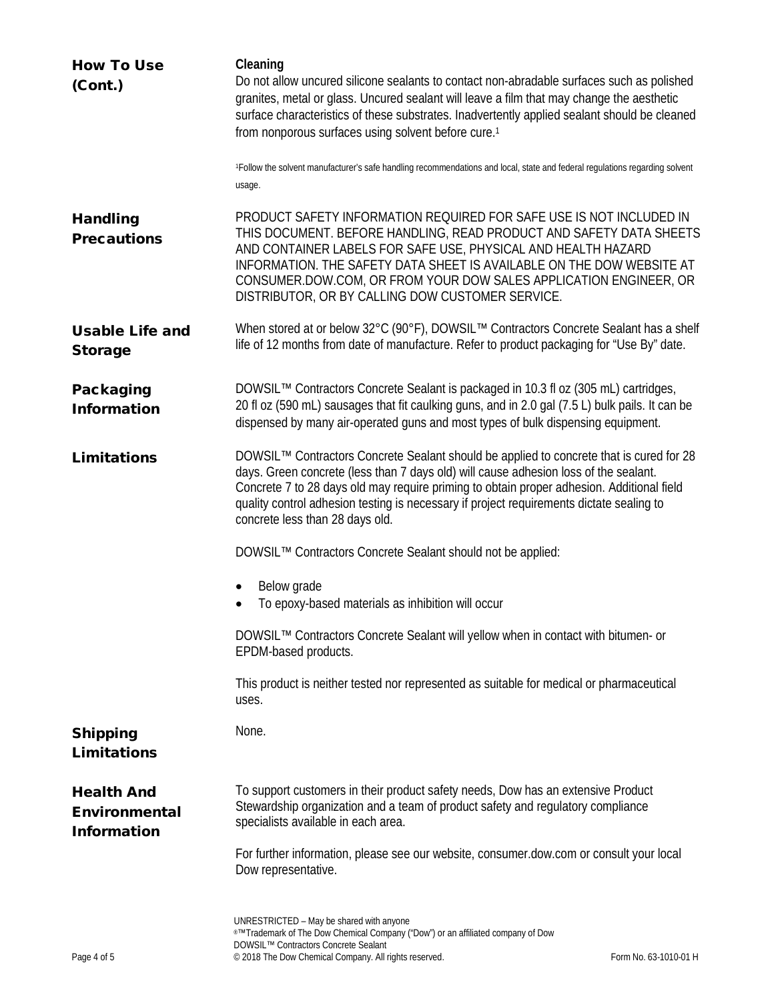| <b>How To Use</b><br>(Cont.)                                    | Cleaning<br>Do not allow uncured silicone sealants to contact non-abradable surfaces such as polished<br>granites, metal or glass. Uncured sealant will leave a film that may change the aesthetic<br>surface characteristics of these substrates. Inadvertently applied sealant should be cleaned<br>from nonporous surfaces using solvent before cure. <sup>1</sup><br><sup>1</sup> Follow the solvent manufacturer's safe handling recommendations and local, state and federal regulations regarding solvent |
|-----------------------------------------------------------------|------------------------------------------------------------------------------------------------------------------------------------------------------------------------------------------------------------------------------------------------------------------------------------------------------------------------------------------------------------------------------------------------------------------------------------------------------------------------------------------------------------------|
|                                                                 | usage.                                                                                                                                                                                                                                                                                                                                                                                                                                                                                                           |
| <b>Handling</b><br><b>Precautions</b>                           | PRODUCT SAFETY INFORMATION REQUIRED FOR SAFE USE IS NOT INCLUDED IN<br>THIS DOCUMENT. BEFORE HANDLING, READ PRODUCT AND SAFETY DATA SHEETS<br>AND CONTAINER LABELS FOR SAFE USE, PHYSICAL AND HEALTH HAZARD<br>INFORMATION. THE SAFETY DATA SHEET IS AVAILABLE ON THE DOW WEBSITE AT<br>CONSUMER.DOW.COM, OR FROM YOUR DOW SALES APPLICATION ENGINEER, OR<br>DISTRIBUTOR, OR BY CALLING DOW CUSTOMER SERVICE.                                                                                                    |
| <b>Usable Life and</b><br><b>Storage</b>                        | When stored at or below 32°C (90°F), DOWSIL™ Contractors Concrete Sealant has a shelf<br>life of 12 months from date of manufacture. Refer to product packaging for "Use By" date.                                                                                                                                                                                                                                                                                                                               |
| Packaging<br><b>Information</b>                                 | DOWSIL™ Contractors Concrete Sealant is packaged in 10.3 fl oz (305 mL) cartridges,<br>20 fl oz (590 mL) sausages that fit caulking guns, and in 2.0 gal (7.5 L) bulk pails. It can be<br>dispensed by many air-operated guns and most types of bulk dispensing equipment.                                                                                                                                                                                                                                       |
| <b>Limitations</b>                                              | DOWSIL™ Contractors Concrete Sealant should be applied to concrete that is cured for 28<br>days. Green concrete (less than 7 days old) will cause adhesion loss of the sealant.<br>Concrete 7 to 28 days old may require priming to obtain proper adhesion. Additional field<br>quality control adhesion testing is necessary if project requirements dictate sealing to<br>concrete less than 28 days old.                                                                                                      |
|                                                                 | DOWSIL™ Contractors Concrete Sealant should not be applied:                                                                                                                                                                                                                                                                                                                                                                                                                                                      |
|                                                                 | Below grade<br>To epoxy-based materials as inhibition will occur                                                                                                                                                                                                                                                                                                                                                                                                                                                 |
|                                                                 | DOWSIL™ Contractors Concrete Sealant will yellow when in contact with bitumen- or<br>EPDM-based products.                                                                                                                                                                                                                                                                                                                                                                                                        |
|                                                                 | This product is neither tested nor represented as suitable for medical or pharmaceutical<br>uses.                                                                                                                                                                                                                                                                                                                                                                                                                |
| <b>Shipping</b><br><b>Limitations</b>                           | None.                                                                                                                                                                                                                                                                                                                                                                                                                                                                                                            |
| <b>Health And</b><br><b>Environmental</b><br><b>Information</b> | To support customers in their product safety needs, Dow has an extensive Product<br>Stewardship organization and a team of product safety and regulatory compliance<br>specialists available in each area.                                                                                                                                                                                                                                                                                                       |
|                                                                 | For further information, please see our website, consumer.dow.com or consult your local<br>Dow representative.                                                                                                                                                                                                                                                                                                                                                                                                   |
|                                                                 | UNRESTRICTED - May be shared with anyone<br>®™Trademark of The Dow Chemical Company ("Dow") or an affiliated company of Dow<br>DOWSIL™ Contractors Concrete Sealant                                                                                                                                                                                                                                                                                                                                              |